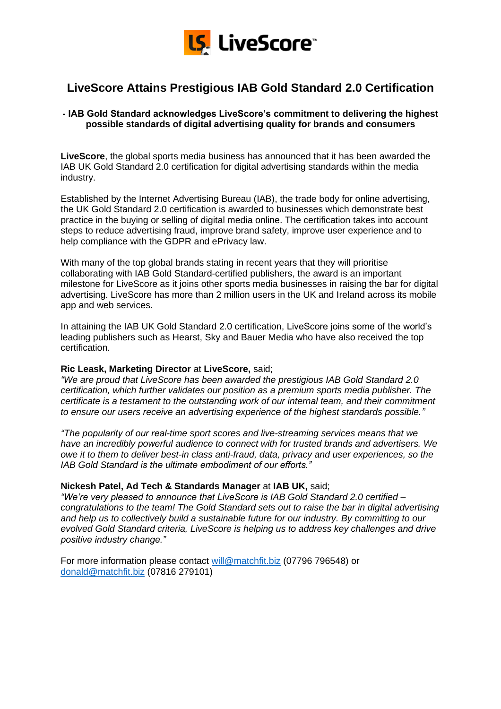

# **LiveScore Attains Prestigious IAB Gold Standard 2.0 Certification**

## **- IAB Gold Standard acknowledges LiveScore's commitment to delivering the highest possible standards of digital advertising quality for brands and consumers**

**LiveScore**, the global sports media business has announced that it has been awarded the IAB UK Gold Standard 2.0 certification for digital advertising standards within the media industry.

Established by the Internet Advertising Bureau (IAB), the trade body for online advertising, the UK Gold Standard 2.0 certification is awarded to businesses which demonstrate best practice in the buying or selling of digital media online. The certification takes into account steps to reduce advertising fraud, improve brand safety, improve user experience and to help compliance with the GDPR and ePrivacy law.

With many of the top global brands stating in recent years that they will prioritise collaborating with IAB Gold Standard-certified publishers, the award is an important milestone for LiveScore as it joins other sports media businesses in raising the bar for digital advertising. LiveScore has more than 2 million users in the UK and Ireland across its mobile app and web services.

In attaining the IAB UK Gold Standard 2.0 certification, LiveScore joins some of the world's leading publishers such as Hearst, Sky and Bauer Media who have also received the top certification.

# **Ric Leask, Marketing Director** at **LiveScore,** said;

*"We are proud that LiveScore has been awarded the prestigious IAB Gold Standard 2.0 certification, which further validates our position as a premium sports media publisher. The certificate is a testament to the outstanding work of our internal team, and their commitment to ensure our users receive an advertising experience of the highest standards possible."*

*"The popularity of our real-time sport scores and live-streaming services means that we have an incredibly powerful audience to connect with for trusted brands and advertisers. We owe it to them to deliver best-in class anti-fraud, data, privacy and user experiences, so the IAB Gold Standard is the ultimate embodiment of our efforts."*

## **Nickesh Patel, Ad Tech & Standards Manager** at **IAB UK,** said;

*"We're very pleased to announce that LiveScore is IAB Gold Standard 2.0 certified – congratulations to the team! The Gold Standard sets out to raise the bar in digital advertising and help us to collectively build a sustainable future for our industry. By committing to our evolved Gold Standard criteria, LiveScore is helping us to address key challenges and drive positive industry change."*

For more information please contact [will@matchfit.biz](mailto:will@matchfit.biz) (07796 796548) or [donald@matchfit.biz](mailto:donald@matchfit.biz) (07816 279101)